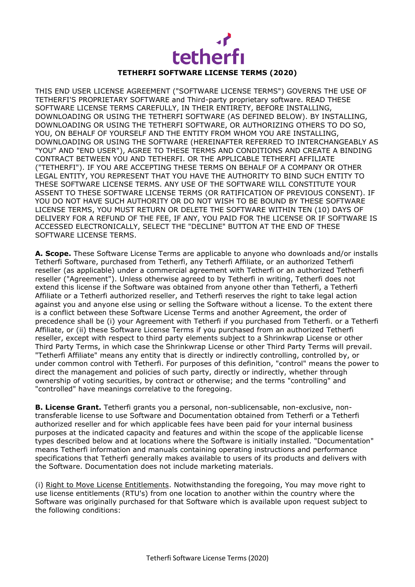

## **TETHERFI SOFTWARE LICENSE TERMS (2020)**

THIS END USER LICENSE AGREEMENT ("SOFTWARE LICENSE TERMS") GOVERNS THE USE OF TETHERFI'S PROPRIETARY SOFTWARE and Third-party proprietary software. READ THESE SOFTWARE LICENSE TERMS CAREFULLY, IN THEIR ENTIRETY, BEFORE INSTALLING, DOWNLOADING OR USING THE TETHERFI SOFTWARE (AS DEFINED BELOW). BY INSTALLING, DOWNLOADING OR USING THE TETHERFI SOFTWARE, OR AUTHORIZING OTHERS TO DO SO, YOU, ON BEHALF OF YOURSELF AND THE ENTITY FROM WHOM YOU ARE INSTALLING, DOWNLOADING OR USING THE SOFTWARE (HEREINAFTER REFERRED TO INTERCHANGEABLY AS "YOU" AND "END USER"), AGREE TO THESE TERMS AND CONDITIONS AND CREATE A BINDING CONTRACT BETWEEN YOU AND TETHERFI. OR THE APPLICABLE TETHERFI AFFILIATE ("TETHERFI"). IF YOU ARE ACCEPTING THESE TERMS ON BEHALF OF A COMPANY OR OTHER LEGAL ENTITY, YOU REPRESENT THAT YOU HAVE THE AUTHORITY TO BIND SUCH ENTITY TO THESE SOFTWARE LICENSE TERMS. ANY USE OF THE SOFTWARE WILL CONSTITUTE YOUR ASSENT TO THESE SOFTWARE LICENSE TERMS (OR RATIFICATION OF PREVIOUS CONSENT). IF YOU DO NOT HAVE SUCH AUTHORITY OR DO NOT WISH TO BE BOUND BY THESE SOFTWARE LICENSE TERMS, YOU MUST RETURN OR DELETE THE SOFTWARE WITHIN TEN (10) DAYS OF DELIVERY FOR A REFUND OF THE FEE, IF ANY, YOU PAID FOR THE LICENSE OR IF SOFTWARE IS ACCESSED ELECTRONICALLY, SELECT THE "DECLINE" BUTTON AT THE END OF THESE SOFTWARE LICENSE TERMS.

**A. Scope.** These Software License Terms are applicable to anyone who downloads and/or installs Tetherfi Software, purchased from Tetherfi, any Tetherfi Affiliate, or an authorized Tetherfi reseller (as applicable) under a commercial agreement with Tetherfi or an authorized Tetherfi reseller ("Agreement"). Unless otherwise agreed to by Tetherfi in writing, Tetherfi does not extend this license if the Software was obtained from anyone other than Tetherfi, a Tetherfi Affiliate or a Tetherfi authorized reseller, and Tetherfi reserves the right to take legal action against you and anyone else using or selling the Software without a license. To the extent there is a conflict between these Software License Terms and another Agreement, the order of precedence shall be (i) your Agreement with Tetherfi if you purchased from Tetherfi. or a Tetherfi Affiliate, or (ii) these Software License Terms if you purchased from an authorized Tetherfi reseller, except with respect to third party elements subject to a Shrinkwrap License or other Third Party Terms, in which case the Shrinkwrap License or other Third Party Terms will prevail. "Tetherfi Affiliate" means any entity that is directly or indirectly controlling, controlled by, or under common control with Tetherfi. For purposes of this definition, "control" means the power to direct the management and policies of such party, directly or indirectly, whether through ownership of voting securities, by contract or otherwise; and the terms "controlling" and "controlled" have meanings correlative to the foregoing.

**B. License Grant.** Tetherfi grants you a personal, non-sublicensable, non-exclusive, nontransferable license to use Software and Documentation obtained from Tetherfi or a Tetherfi authorized reseller and for which applicable fees have been paid for your internal business purposes at the indicated capacity and features and within the scope of the applicable license types described below and at locations where the Software is initially installed. "Documentation" means Tetherfi information and manuals containing operating instructions and performance specifications that Tetherfi generally makes available to users of its products and delivers with the Software. Documentation does not include marketing materials.

(i) Right to Move License Entitlements. Notwithstanding the foregoing, You may move right to use license entitlements (RTU's) from one location to another within the country where the Software was originally purchased for that Software which is available upon request subject to the following conditions: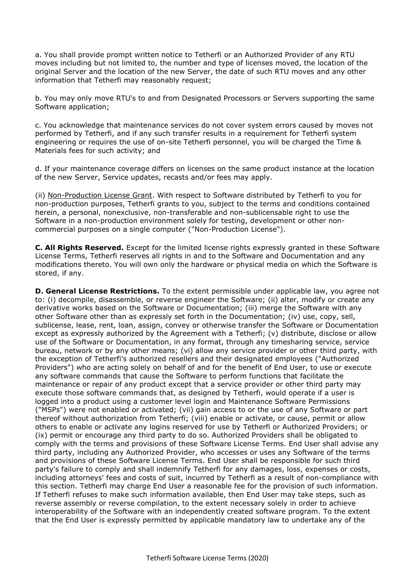a. You shall provide prompt written notice to Tetherfi or an Authorized Provider of any RTU moves including but not limited to, the number and type of licenses moved, the location of the original Server and the location of the new Server, the date of such RTU moves and any other information that Tetherfi may reasonably request;

b. You may only move RTU's to and from Designated Processors or Servers supporting the same Software application;

c. You acknowledge that maintenance services do not cover system errors caused by moves not performed by Tetherfi, and if any such transfer results in a requirement for Tetherfi system engineering or requires the use of on-site Tetherfi personnel, you will be charged the Time & Materials fees for such activity; and

d. If your maintenance coverage differs on licenses on the same product instance at the location of the new Server, Service updates, recasts and/or fees may apply.

(ii) Non-Production License Grant. With respect to Software distributed by Tetherfi to you for non-production purposes, Tetherfi grants to you, subject to the terms and conditions contained herein, a personal, nonexclusive, non-transferable and non-sublicensable right to use the Software in a non-production environment solely for testing, development or other noncommercial purposes on a single computer ("Non-Production License").

**C. All Rights Reserved.** Except for the limited license rights expressly granted in these Software License Terms, Tetherfi reserves all rights in and to the Software and Documentation and any modifications thereto. You will own only the hardware or physical media on which the Software is stored, if any.

**D. General License Restrictions.** To the extent permissible under applicable law, you agree not to: (i) decompile, disassemble, or reverse engineer the Software; (ii) alter, modify or create any derivative works based on the Software or Documentation; (iii) merge the Software with any other Software other than as expressly set forth in the Documentation; (iv) use, copy, sell, sublicense, lease, rent, loan, assign, convey or otherwise transfer the Software or Documentation except as expressly authorized by the Agreement with a Tetherfi; (v) distribute, disclose or allow use of the Software or Documentation, in any format, through any timesharing service, service bureau, network or by any other means; (vi) allow any service provider or other third party, with the exception of Tetherfi's authorized resellers and their designated employees ("Authorized Providers") who are acting solely on behalf of and for the benefit of End User, to use or execute any software commands that cause the Software to perform functions that facilitate the maintenance or repair of any product except that a service provider or other third party may execute those software commands that, as designed by Tetherfi, would operate if a user is logged into a product using a customer level login and Maintenance Software Permissions ("MSPs") were not enabled or activated; (vii) gain access to or the use of any Software or part thereof without authorization from Tetherfi; (viii) enable or activate, or cause, permit or allow others to enable or activate any logins reserved for use by Tetherfi or Authorized Providers; or (ix) permit or encourage any third party to do so. Authorized Providers shall be obligated to comply with the terms and provisions of these Software License Terms. End User shall advise any third party, including any Authorized Provider, who accesses or uses any Software of the terms and provisions of these Software License Terms. End User shall be responsible for such third party's failure to comply and shall indemnify Tetherfi for any damages, loss, expenses or costs, including attorneys' fees and costs of suit, incurred by Tetherfi as a result of non-compliance with this section. Tetherfi may charge End User a reasonable fee for the provision of such information. If Tetherfi refuses to make such information available, then End User may take steps, such as reverse assembly or reverse compilation, to the extent necessary solely in order to achieve interoperability of the Software with an independently created software program. To the extent that the End User is expressly permitted by applicable mandatory law to undertake any of the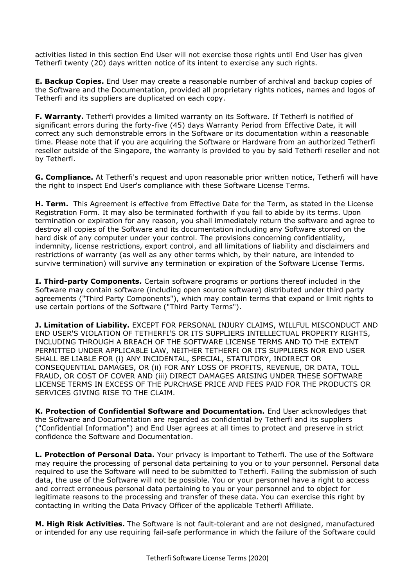activities listed in this section End User will not exercise those rights until End User has given Tetherfi twenty (20) days written notice of its intent to exercise any such rights.

**E. Backup Copies.** End User may create a reasonable number of archival and backup copies of the Software and the Documentation, provided all proprietary rights notices, names and logos of Tetherfi and its suppliers are duplicated on each copy.

**F. Warranty.** Tetherfi provides a limited warranty on its Software. If Tetherfi is notified of significant errors during the forty-five (45) days Warranty Period from Effective Date, it will correct any such demonstrable errors in the Software or its documentation within a reasonable time. Please note that if you are acquiring the Software or Hardware from an authorized Tetherfi reseller outside of the Singapore, the warranty is provided to you by said Tetherfi reseller and not by Tetherfi.

**G. Compliance.** At Tetherfi's request and upon reasonable prior written notice, Tetherfi will have the right to inspect End User's compliance with these Software License Terms.

**H. Term.** This Agreement is effective from Effective Date for the Term, as stated in the License Registration Form. It may also be terminated forthwith if you fail to abide by its terms. Upon termination or expiration for any reason, you shall immediately return the software and agree to destroy all copies of the Software and its documentation including any Software stored on the hard disk of any computer under your control. The provisions concerning confidentiality, indemnity, license restrictions, export control, and all limitations of liability and disclaimers and restrictions of warranty (as well as any other terms which, by their nature, are intended to survive termination) will survive any termination or expiration of the Software License Terms.

**I. Third-party Components.** Certain software programs or portions thereof included in the Software may contain software (including open source software) distributed under third party agreements ("Third Party Components"), which may contain terms that expand or limit rights to use certain portions of the Software ("Third Party Terms").

**J. Limitation of Liability.** EXCEPT FOR PERSONAL INJURY CLAIMS, WILLFUL MISCONDUCT AND END USER'S VIOLATION OF TETHERFI'S OR ITS SUPPLIERS INTELLECTUAL PROPERTY RIGHTS, INCLUDING THROUGH A BREACH OF THE SOFTWARE LICENSE TERMS AND TO THE EXTENT PERMITTED UNDER APPLICABLE LAW, NEITHER TETHERFI OR ITS SUPPLIERS NOR END USER SHALL BE LIABLE FOR (i) ANY INCIDENTAL, SPECIAL, STATUTORY, INDIRECT OR CONSEQUENTIAL DAMAGES, OR (ii) FOR ANY LOSS OF PROFITS, REVENUE, OR DATA, TOLL FRAUD, OR COST OF COVER AND (iii) DIRECT DAMAGES ARISING UNDER THESE SOFTWARE LICENSE TERMS IN EXCESS OF THE PURCHASE PRICE AND FEES PAID FOR THE PRODUCTS OR SERVICES GIVING RISE TO THE CLAIM.

**K. Protection of Confidential Software and Documentation.** End User acknowledges that the Software and Documentation are regarded as confidential by Tetherfi and its suppliers ("Confidential Information") and End User agrees at all times to protect and preserve in strict confidence the Software and Documentation.

**L. Protection of Personal Data.** Your privacy is important to Tetherfi. The use of the Software may require the processing of personal data pertaining to you or to your personnel. Personal data required to use the Software will need to be submitted to Tetherfi. Failing the submission of such data, the use of the Software will not be possible. You or your personnel have a right to access and correct erroneous personal data pertaining to you or your personnel and to object for legitimate reasons to the processing and transfer of these data. You can exercise this right by contacting in writing the Data Privacy Officer of the applicable Tetherfi Affiliate.

**M. High Risk Activities.** The Software is not fault-tolerant and are not designed, manufactured or intended for any use requiring fail-safe performance in which the failure of the Software could